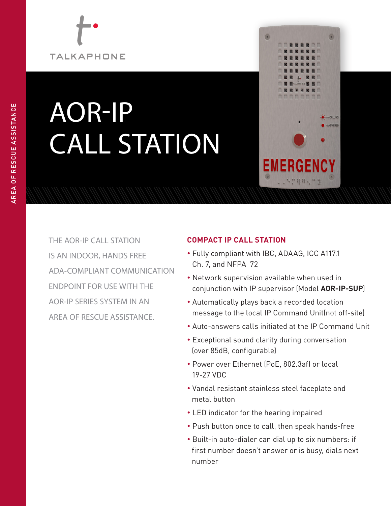# **TALKAPHONE**

# AOR-IP CALL STATION



THE AOR-IP CALL STATION IS AN INDOOR, HANDS FREE ADA-COMPLIANT COMMUNICATION ENDPOINT FOR USE WITH THE AOR-IP SERIES SYSTEM IN AN AREA OF RESCUE ASSISTANCE.

### **COMPACT IP CALL STATION**

- Fully compliant with IBC, ADAAG, ICC A117.1 Ch. 7, and NFPA 72
- Network supervision available when used in conjunction with IP supervisor (Model **AOR-IP-SUP**)
- Automatically plays back a recorded location message to the local IP Command Unit(not off-site)
- Auto-answers calls initiated at the IP Command Unit
- Exceptional sound clarity during conversation (over 85dB, configurable)
- Power over Ethernet (PoE, 802.3af) or local 19-27 VDC
- Vandal resistant stainless steel faceplate and metal button
- LED indicator for the hearing impaired
- Push button once to call, then speak hands-free
- Built-in auto-dialer can dial up to six numbers: if first number doesn't answer or is busy, dials next number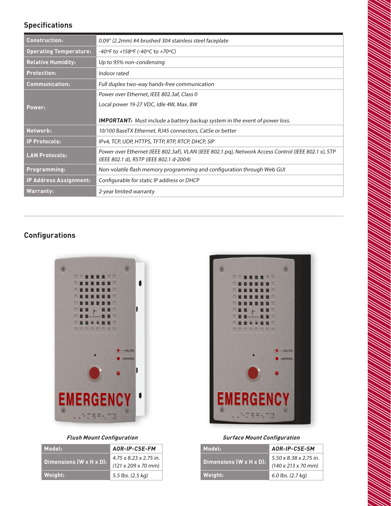#### **Specifications**

| <b>Construction:</b>          | 0.09" (2.2mm) #4 brushed 304 stainless steel faceplate                                                                                           |
|-------------------------------|--------------------------------------------------------------------------------------------------------------------------------------------------|
| <b>Operating Temperature:</b> | -40°F to +158°F (-40°C to +70°C)                                                                                                                 |
| <b>Relative Humidity:</b>     | Up to 95% non-condensing                                                                                                                         |
| <b>Protection:</b>            | Indoor rated                                                                                                                                     |
| <b>Communication:</b>         | Full duplex two-way hands-free communication                                                                                                     |
|                               | Power over Ethernet, IEEE 802.3af, Class 0                                                                                                       |
| Power:                        | Local power 19-27 VDC, Idle 4W, Max. 8W                                                                                                          |
|                               | <b>IMPORTANT:</b> Must include a battery backup system in the event of power loss.                                                               |
| Network:                      | 10/100 BaseTX Ethernet, RJ45 connectors, Cat5e or better                                                                                         |
| <b>IP Protocols:</b>          | IPv4, TCP, UDP, HTTPS, TFTP, RTP, RTCP, DHCP, SIP                                                                                                |
| <b>LAN Protocols:</b>         | Power over Ethernet (IEEE 802.3af), VLAN (IEEE 802.1 pg), Network Access Control (IEEE 802.1 x), STP<br>(IEEE 802.1 d), RSTP (IEEE 802.1 d-2004) |
| Programming:                  | Non-volatile flash memory programming and configuration through Web GUI                                                                          |
| <b>IP Address Assignment:</b> | Configurable for static IP address or DHCP                                                                                                       |
| <b>Warranty:</b>              | 2-year limited warranty                                                                                                                          |

## **Configurations**



#### **Flush Mount Configuration**

| Model:                               | AOR-IP-CSE-FM                                 |
|--------------------------------------|-----------------------------------------------|
| Dimensions $(W \times H \times D)$ : | 4.75 x 8.23 x 2.75 in.<br>(121 x 209 x 70 mm) |
| Weight:                              | 5.5 lbs. (2.5 kg)                             |



#### **Surface Mount Configuration**

| Model:                  | AOR-IP-CSE-SM                                                                 |
|-------------------------|-------------------------------------------------------------------------------|
| Dimensions (W x H x D): | $5.50 \times 8.38 \times 2.75$ in.<br>$(140 \times 213 \times 70 \text{ mm})$ |
| Weight:                 | 6.0 lbs. (2.7 kg)                                                             |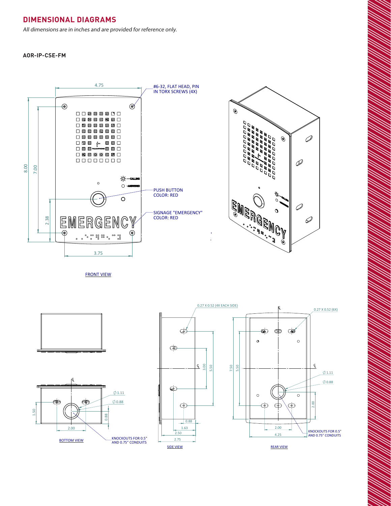#### **DIMENSIONAL DIAGRAMS**

All dimensions are in inches and are provided for reference only.

**AOR-IP-CSE-FM**



 $\overline{\phantom{a}}$ 

 2.00 4.25

 $\overline{\phantom{0}}$ 

REAR VIEW

REV. DESCRIPTION DATE APPROVED  $\sim$  $1.0$  MARKETING RELEASE 04/07/2020 K PATEL

 $\sim$  $\sim$ 

REV. DESCRIPTION DATE APPROVED  $1.001$  MARKETING RELEASE 0

K PATEL 04/07/2020 NAME DATE

COMMENTS: MFG APPR. ENG APPR. CHECKED DRAWN

FRONT VIEW  $\mathcal{L}$  8  $\mathcal{L}$  6  $\mathcal{L}$  5  $\mathcal{L}$  5  $\mathcal{L}$  5  $\mathcal{L}$  5  $\mathcal{L}$  5  $\mathcal{L}$  5  $\mathcal{L}$  5  $\mathcal{L}$  5  $\mathcal{L}$  5  $\mathcal{L}$  5  $\mathcal{L}$  5  $\mathcal{L}$  5  $\mathcal{L}$  5  $\mathcal{L}$  5  $\mathcal{L}$  5  $\mathcal{L}$  5  $\mathcal{L}$  5  $\mathcal{L}$  5